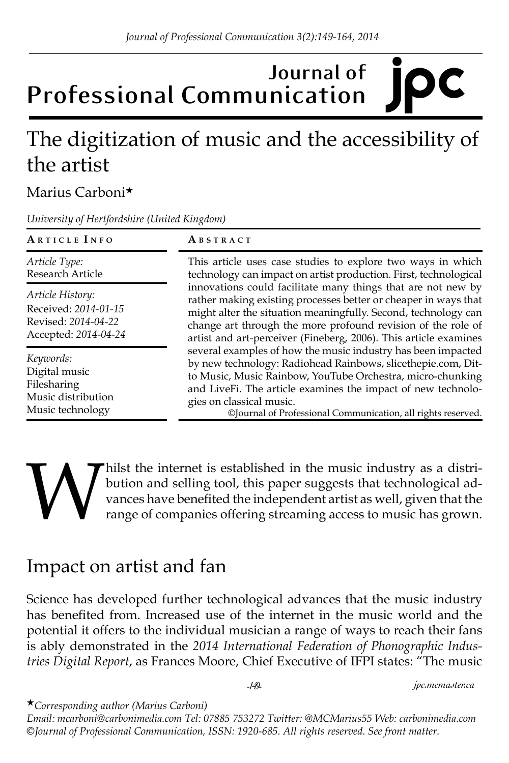# **Journal of Professional Communication**

# The digitization of music and the accessibility of the artist

#### Marius Carboni★

*University of Hertfordshire (United Kingdom)*

| ARTICLE INFO                                                                            | ABSTRACT                                                                                                                                                                                                                                                                                                                                                                                                                                                                                                                                                                                                                                                                                                                                                                                                                           |
|-----------------------------------------------------------------------------------------|------------------------------------------------------------------------------------------------------------------------------------------------------------------------------------------------------------------------------------------------------------------------------------------------------------------------------------------------------------------------------------------------------------------------------------------------------------------------------------------------------------------------------------------------------------------------------------------------------------------------------------------------------------------------------------------------------------------------------------------------------------------------------------------------------------------------------------|
| Article Type:<br>Research Article                                                       | This article uses case studies to explore two ways in which<br>technology can impact on artist production. First, technological<br>innovations could facilitate many things that are not new by<br>rather making existing processes better or cheaper in ways that<br>might alter the situation meaningfully. Second, technology can<br>change art through the more profound revision of the role of<br>artist and art-perceiver (Fineberg, 2006). This article examines<br>several examples of how the music industry has been impacted<br>by new technology: Radiohead Rainbows, slicethepie.com, Dit-<br>to Music, Music Rainbow, YouTube Orchestra, micro-chunking<br>and LiveFi. The article examines the impact of new technolo-<br>gies on classical music.<br>©Journal of Professional Communication, all rights reserved. |
| Article History:<br>Received: 2014-01-15<br>Revised: 2014-04-22<br>Accepted: 2014-04-24 |                                                                                                                                                                                                                                                                                                                                                                                                                                                                                                                                                                                                                                                                                                                                                                                                                                    |
| Keywords:<br>Digital music<br>Filesharing<br>Music distribution<br>Music technology     |                                                                                                                                                                                                                                                                                                                                                                                                                                                                                                                                                                                                                                                                                                                                                                                                                                    |

# Whilst the internet is established in the music industry as a distribution and selling tool, this paper suggests that technological advances have benefited the independent artist as well, given that the range of companies bution and selling tool, this paper suggests that technological advances have benefited the independent artist as well, given that the range of companies offering streaming access to music has grown.

# Impact on artist and fan

Science has developed further technological advances that the music industry has benefited from. Increased use of the internet in the music world and the potential it offers to the individual musician a range of ways to reach their fans is ably demonstrated in the *2014 International Federation of Phonographic Industries Digital Report*, as Frances Moore, Chief Executive of IFPI states: "The music

*-149- jpc.mcmaster.ca*

★*Corresponding author (Marius Carboni)* 

*Email: mcarboni@carbonimedia.com Tel: 07885 753272 Twitter: @MCMarius55 Web: carbonimedia.com ©Journal of Professional Communication, ISSN: 1920-685. All rights reserved. See front matter.*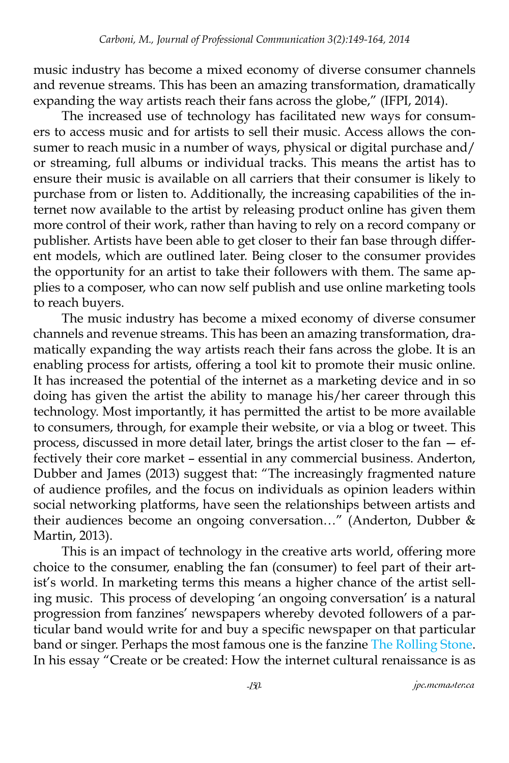music industry has become a mixed economy of diverse consumer channels and revenue streams. This has been an amazing transformation, dramatically expanding the way artists reach their fans across the globe," (IFPI, 2014).

The increased use of technology has facilitated new ways for consumers to access music and for artists to sell their music. Access allows the consumer to reach music in a number of ways, physical or digital purchase and/ or streaming, full albums or individual tracks. This means the artist has to ensure their music is available on all carriers that their consumer is likely to purchase from or listen to. Additionally, the increasing capabilities of the internet now available to the artist by releasing product online has given them more control of their work, rather than having to rely on a record company or publisher. Artists have been able to get closer to their fan base through different models, which are outlined later. Being closer to the consumer provides the opportunity for an artist to take their followers with them. The same applies to a composer, who can now self publish and use online marketing tools to reach buyers.

The music industry has become a mixed economy of diverse consumer channels and revenue streams. This has been an amazing transformation, dramatically expanding the way artists reach their fans across the globe. It is an enabling process for artists, offering a tool kit to promote their music online. It has increased the potential of the internet as a marketing device and in so doing has given the artist the ability to manage his/her career through this technology. Most importantly, it has permitted the artist to be more available to consumers, through, for example their website, or via a blog or tweet. This process, discussed in more detail later, brings the artist closer to the fan — effectively their core market – essential in any commercial business. Anderton, Dubber and James (2013) suggest that: "The increasingly fragmented nature of audience profiles, and the focus on individuals as opinion leaders within social networking platforms, have seen the relationships between artists and their audiences become an ongoing conversation…" (Anderton, Dubber & Martin, 2013).

This is an impact of technology in the creative arts world, offering more choice to the consumer, enabling the fan (consumer) to feel part of their artist's world. In marketing terms this means a higher chance of the artist selling music. This process of developing 'an ongoing conversation' is a natural progression from fanzines' newspapers whereby devoted followers of a particular band would write for and buy a specific newspaper on that particular band or singer. Perhaps the most famous one is the fanzine [The Rolling Stone.](http://www.rollingstones.com) In his essay "Create or be created: How the internet cultural renaissance is as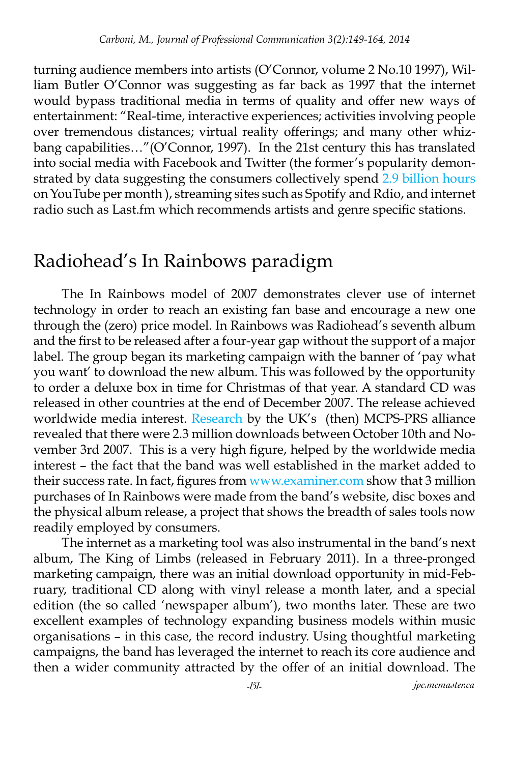turning audience members into artists (O'Connor, volume 2 No.10 1997), William Butler O'Connor was suggesting as far back as 1997 that the internet would bypass traditional media in terms of quality and offer new ways of entertainment: "Real-time, interactive experiences; activities involving people over tremendous distances; virtual reality offerings; and many other whizbang capabilities…"(O'Connor, 1997). In the 21st century this has translated into social media with Facebook and Twitter (the former's popularity demonstrated by data suggesting the consumers collectively spend [2.9 billion hours](http://www.businessinsider.com/using-you-tube-for-marketing-2011-13) on YouTube per month ), streaming sites such as Spotify and Rdio, and internet radio such as Last.fm which recommends artists and genre specific stations.

## Radiohead's In Rainbows paradigm

The In Rainbows model of 2007 demonstrates clever use of internet technology in order to reach an existing fan base and encourage a new one through the (zero) price model. In Rainbows was Radiohead's seventh album and the first to be released after a four-year gap without the support of a major label. The group began its marketing campaign with the banner of 'pay what you want' to download the new album. This was followed by the opportunity to order a deluxe box in time for Christmas of that year. A standard CD was released in other countries at the end of December 2007. The release achieved worldwide media interest. [Research](http://www.prsformusic.com/creators/news/research/Documents/Economic%2520Insight%252010.pdf) by the UK's (then) MCPS-PRS alliance revealed that there were 2.3 million downloads between October 10th and November 3rd 2007. This is a very high figure, helped by the worldwide media interest – the fact that the band was well established in the market added to their success rate. In fact, figures from [www.examiner.com](http://www.examiner.comx-498-Music-Examiner-y2008m10d16) show that 3 million purchases of In Rainbows were made from the band's website, disc boxes and the physical album release, a project that shows the breadth of sales tools now readily employed by consumers.

The internet as a marketing tool was also instrumental in the band's next album, The King of Limbs (released in February 2011). In a three-pronged marketing campaign, there was an initial download opportunity in mid-February, traditional CD along with vinyl release a month later, and a special edition (the so called 'newspaper album'), two months later. These are two excellent examples of technology expanding business models within music organisations – in this case, the record industry. Using thoughtful marketing campaigns, the band has leveraged the internet to reach its core audience and then a wider community attracted by the offer of an initial download. The

*-151- jpc.mcmaster.ca*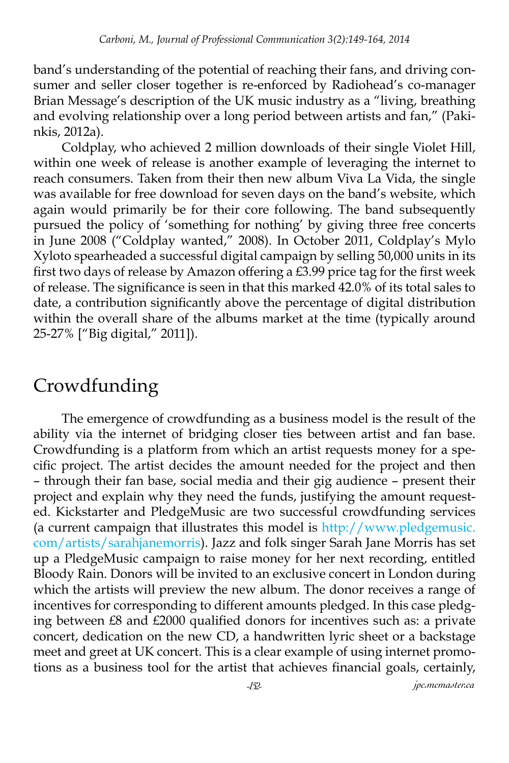band's understanding of the potential of reaching their fans, and driving consumer and seller closer together is re-enforced by Radiohead's co-manager Brian Message's description of the UK music industry as a "living, breathing and evolving relationship over a long period between artists and fan," (Pakinkis, 2012a).

Coldplay, who achieved 2 million downloads of their single Violet Hill, within one week of release is another example of leveraging the internet to reach consumers. Taken from their then new album Viva La Vida, the single was available for free download for seven days on the band's website, which again would primarily be for their core following. The band subsequently pursued the policy of 'something for nothing' by giving three free concerts in June 2008 ("Coldplay wanted," 2008). In October 2011, Coldplay's Mylo Xyloto spearheaded a successful digital campaign by selling 50,000 units in its first two days of release by Amazon offering a £3.99 price tag for the first week of release. The significance is seen in that this marked 42.0% of its total sales to date, a contribution significantly above the percentage of digital distribution within the overall share of the albums market at the time (typically around 25-27% ["Big digital," 2011]).

# Crowdfunding

The emergence of crowdfunding as a business model is the result of the ability via the internet of bridging closer ties between artist and fan base. Crowdfunding is a platform from which an artist requests money for a specific project. The artist decides the amount needed for the project and then – through their fan base, social media and their gig audience – present their project and explain why they need the funds, justifying the amount requested. Kickstarter and PledgeMusic are two successful crowdfunding services (a current campaign that illustrates this model is [http://www.pledgemusic.](http://www.pledgemusic.com/artists/sarahjanemorris) [com/artists/sarahjanemorris](http://www.pledgemusic.com/artists/sarahjanemorris)). Jazz and folk singer Sarah Jane Morris has set up a PledgeMusic campaign to raise money for her next recording, entitled Bloody Rain. Donors will be invited to an exclusive concert in London during which the artists will preview the new album. The donor receives a range of incentives for corresponding to different amounts pledged. In this case pledging between £8 and £2000 qualified donors for incentives such as: a private concert, dedication on the new CD, a handwritten lyric sheet or a backstage meet and greet at UK concert. This is a clear example of using internet promotions as a business tool for the artist that achieves financial goals, certainly,

*-152- jpc.mcmaster.ca*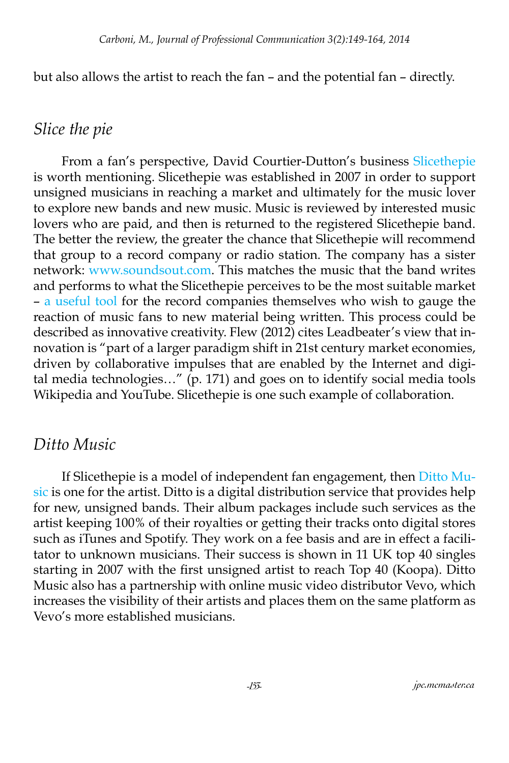but also allows the artist to reach the fan – and the potential fan – directly.

### *Slice the pie*

From a fan's perspective, David Courtier-Dutton's business [Slicethepie](http://www.slicethepie.com/%3Fc%3Dinformation%26insert%3DABOUT)  is worth mentioning. Slicethepie was established in 2007 in order to support unsigned musicians in reaching a market and ultimately for the music lover to explore new bands and new music. Music is reviewed by interested music lovers who are paid, and then is returned to the registered Slicethepie band. The better the review, the greater the chance that Slicethepie will recommend that group to a record company or radio station. The company has a sister network: <www.soundsout.com>. This matches the music that the band writes and performs to what the Slicethepie perceives to be the most suitable market – [a useful tool](http://www.soundout.com/Information.php%3FthisArticle%3DABOUT_MAIN) for the record companies themselves who wish to gauge the reaction of music fans to new material being written. This process could be described as innovative creativity. Flew (2012) cites Leadbeater's view that innovation is "part of a larger paradigm shift in 21st century market economies, driven by collaborative impulses that are enabled by the Internet and digital media technologies…" (p. 171) and goes on to identify social media tools Wikipedia and YouTube. Slicethepie is one such example of collaboration.

#### *Ditto Music*

If Slicethepie is a model of independent fan engagement, then [Ditto Mu](http://www.dittomusic.com)[sic](http://www.dittomusic.com) is one for the artist. Ditto is a digital distribution service that provides help for new, unsigned bands. Their album packages include such services as the artist keeping 100% of their royalties or getting their tracks onto digital stores such as iTunes and Spotify. They work on a fee basis and are in effect a facilitator to unknown musicians. Their success is shown in 11 UK top 40 singles starting in 2007 with the first unsigned artist to reach Top 40 (Koopa). Ditto Music also has a partnership with online music video distributor Vevo, which increases the visibility of their artists and places them on the same platform as Vevo's more established musicians.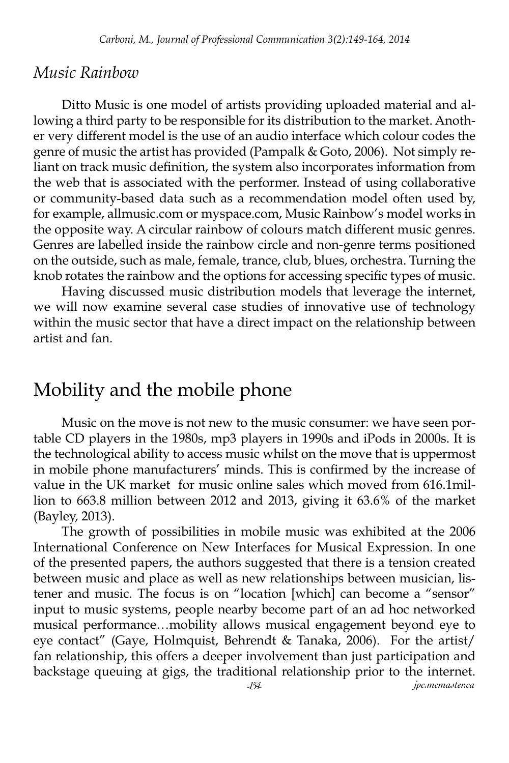#### *Music Rainbow*

Ditto Music is one model of artists providing uploaded material and allowing a third party to be responsible for its distribution to the market. Another very different model is the use of an audio interface which colour codes the genre of music the artist has provided (Pampalk & Goto, 2006). Not simply reliant on track music definition, the system also incorporates information from the web that is associated with the performer. Instead of using collaborative or community-based data such as a recommendation model often used by, for example, allmusic.com or myspace.com, Music Rainbow's model works in the opposite way. A circular rainbow of colours match different music genres. Genres are labelled inside the rainbow circle and non-genre terms positioned on the outside, such as male, female, trance, club, blues, orchestra. Turning the knob rotates the rainbow and the options for accessing specific types of music.

Having discussed music distribution models that leverage the internet, we will now examine several case studies of innovative use of technology within the music sector that have a direct impact on the relationship between artist and fan.

## Mobility and the mobile phone

Music on the move is not new to the music consumer: we have seen portable CD players in the 1980s, mp3 players in 1990s and iPods in 2000s. It is the technological ability to access music whilst on the move that is uppermost in mobile phone manufacturers' minds. This is confirmed by the increase of value in the UK market for music online sales which moved from 616.1million to 663.8 million between 2012 and 2013, giving it 63.6% of the market (Bayley, 2013).

*-154- jpc.mcmaster.ca* The growth of possibilities in mobile music was exhibited at the 2006 International Conference on New Interfaces for Musical Expression. In one of the presented papers, the authors suggested that there is a tension created between music and place as well as new relationships between musician, listener and music. The focus is on "location [which] can become a "sensor" input to music systems, people nearby become part of an ad hoc networked musical performance…mobility allows musical engagement beyond eye to eye contact" (Gaye, Holmquist, Behrendt & Tanaka, 2006). For the artist/ fan relationship, this offers a deeper involvement than just participation and backstage queuing at gigs, the traditional relationship prior to the internet.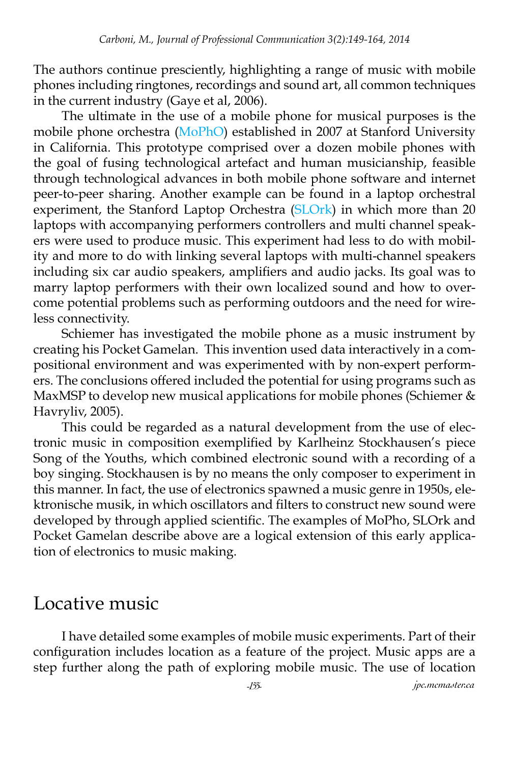The authors continue presciently, highlighting a range of music with mobile phones including ringtones, recordings and sound art, all common techniques in the current industry (Gaye et al, 2006).

The ultimate in the use of a mobile phone for musical purposes is the mobile phone orchestra ([MoPhO\)](http://mopho.stanford.edu) established in 2007 at Stanford University in California. This prototype comprised over a dozen mobile phones with the goal of fusing technological artefact and human musicianship, feasible through technological advances in both mobile phone software and internet peer-to-peer sharing. Another example can be found in a laptop orchestral experiment, the Stanford Laptop Orchestra [\(SLOrk\)](http://slork.stanford.edu) in which more than 20 laptops with accompanying performers controllers and multi channel speakers were used to produce music. This experiment had less to do with mobility and more to do with linking several laptops with multi-channel speakers including six car audio speakers, amplifiers and audio jacks. Its goal was to marry laptop performers with their own localized sound and how to overcome potential problems such as performing outdoors and the need for wireless connectivity.

Schiemer has investigated the mobile phone as a music instrument by creating his Pocket Gamelan. This invention used data interactively in a compositional environment and was experimented with by non-expert performers. The conclusions offered included the potential for using programs such as MaxMSP to develop new musical applications for mobile phones (Schiemer & Havryliv, 2005).

This could be regarded as a natural development from the use of electronic music in composition exemplified by Karlheinz Stockhausen's piece Song of the Youths, which combined electronic sound with a recording of a boy singing. Stockhausen is by no means the only composer to experiment in this manner. In fact, the use of electronics spawned a music genre in 1950s, elektronische musik, in which oscillators and filters to construct new sound were developed by through applied scientific. The examples of MoPho, SLOrk and Pocket Gamelan describe above are a logical extension of this early application of electronics to music making.

### Locative music

I have detailed some examples of mobile music experiments. Part of their configuration includes location as a feature of the project. Music apps are a step further along the path of exploring mobile music. The use of location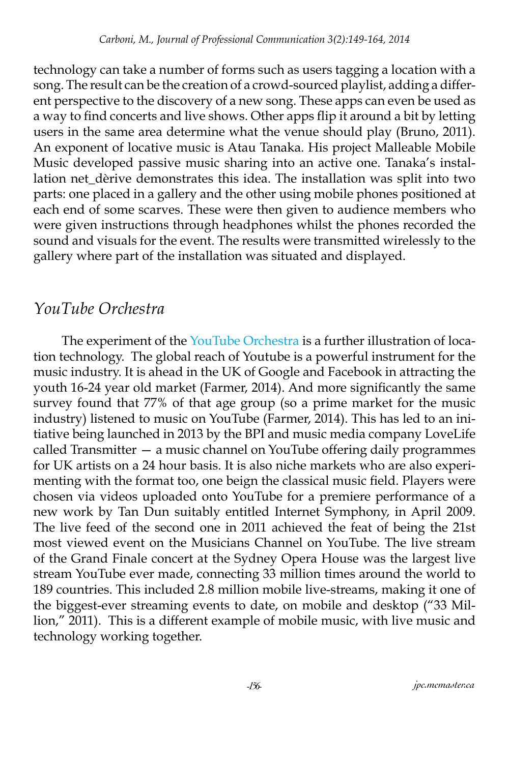technology can take a number of forms such as users tagging a location with a song. The result can be the creation of a crowd-sourced playlist, adding a different perspective to the discovery of a new song. These apps can even be used as a way to find concerts and live shows. Other apps flip it around a bit by letting users in the same area determine what the venue should play (Bruno, 2011). An exponent of locative music is Atau Tanaka. His project Malleable Mobile Music developed passive music sharing into an active one. Tanaka's installation net dèrive demonstrates this idea. The installation was split into two parts: one placed in a gallery and the other using mobile phones positioned at each end of some scarves. These were then given to audience members who were given instructions through headphones whilst the phones recorded the sound and visuals for the event. The results were transmitted wirelessly to the gallery where part of the installation was situated and displayed.

### *YouTube Orchestra*

The experiment of the [YouTube Orchestra](http://www.youtube.com/symphony) is a further illustration of location technology. The global reach of Youtube is a powerful instrument for the music industry. It is ahead in the UK of Google and Facebook in attracting the youth 16-24 year old market (Farmer, 2014). And more significantly the same survey found that 77% of that age group (so a prime market for the music industry) listened to music on YouTube (Farmer, 2014). This has led to an initiative being launched in 2013 by the BPI and music media company LoveLife called Transmitter — a music channel on YouTube offering daily programmes for UK artists on a 24 hour basis. It is also niche markets who are also experimenting with the format too, one beign the classical music field. Players were chosen via videos uploaded onto YouTube for a premiere performance of a new work by Tan Dun suitably entitled Internet Symphony, in April 2009. The live feed of the second one in 2011 achieved the feat of being the 21st most viewed event on the Musicians Channel on YouTube. The live stream of the Grand Finale concert at the Sydney Opera House was the largest live stream YouTube ever made, connecting 33 million times around the world to 189 countries. This included 2.8 million mobile live-streams, making it one of the biggest-ever streaming events to date, on mobile and desktop ("33 Million," 2011). This is a different example of mobile music, with live music and technology working together.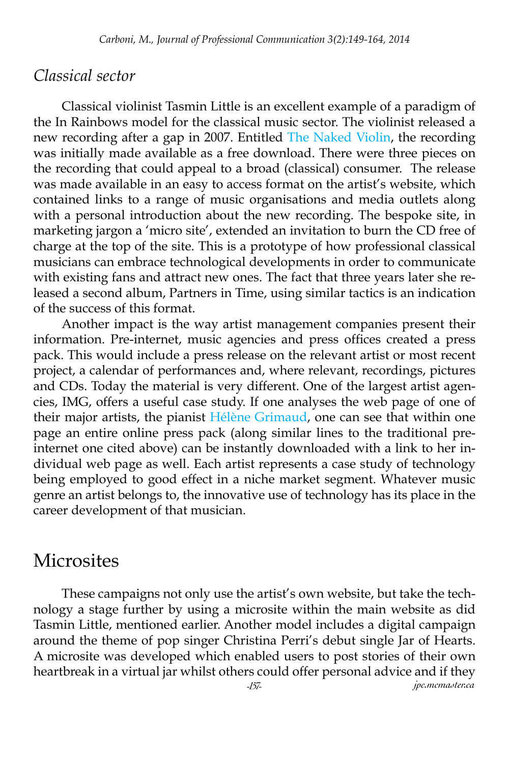#### *Classical sector*

Classical violinist Tasmin Little is an excellent example of a paradigm of the In Rainbows model for the classical music sector. The violinist released a new recording after a gap in 2007. Entitled [The Naked Violin,](http://www.tasminlittle.org.uk/free_cd/index.html) the recording was initially made available as a free download. There were three pieces on the recording that could appeal to a broad (classical) consumer. The release was made available in an easy to access format on the artist's website, which contained links to a range of music organisations and media outlets along with a personal introduction about the new recording. The bespoke site, in marketing jargon a 'micro site', extended an invitation to burn the CD free of charge at the top of the site. This is a prototype of how professional classical musicians can embrace technological developments in order to communicate with existing fans and attract new ones. The fact that three years later she released a second album, Partners in Time, using similar tactics is an indication of the success of this format.

Another impact is the way artist management companies present their information. Pre-internet, music agencies and press offices created a press pack. This would include a press release on the relevant artist or most recent project, a calendar of performances and, where relevant, recordings, pictures and CDs. Today the material is very different. One of the largest artist agencies, IMG, offers a useful case study. If one analyses the web page of one of their major artists, the pianist [Hélène Grimaud,](http://imgartists.com/artist/hlne_grimaud) one can see that within one page an entire online press pack (along similar lines to the traditional preinternet one cited above) can be instantly downloaded with a link to her individual web page as well. Each artist represents a case study of technology being employed to good effect in a niche market segment. Whatever music genre an artist belongs to, the innovative use of technology has its place in the career development of that musician.

### **Microsites**

These campaigns not only use the artist's own website, but take the technology a stage further by using a microsite within the main website as did Tasmin Little, mentioned earlier. Another model includes a digital campaign around the theme of pop singer Christina Perri's debut single Jar of Hearts. A microsite was developed which enabled users to post stories of their own heartbreak in a virtual jar whilst others could offer personal advice and if they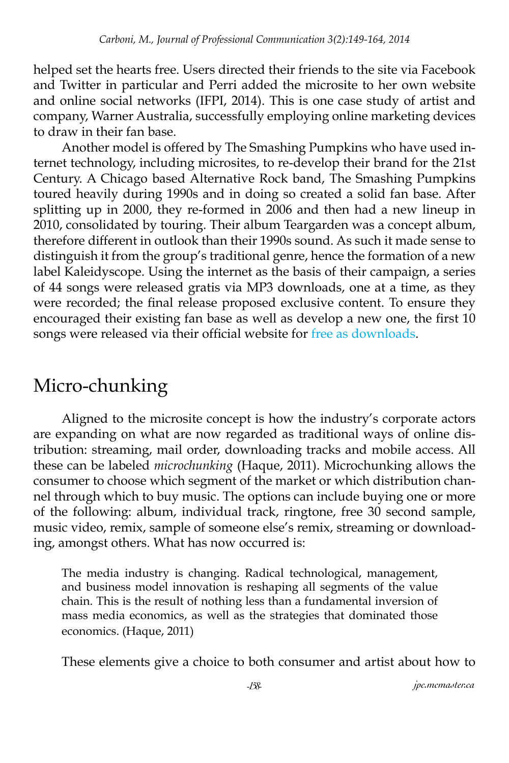helped set the hearts free. Users directed their friends to the site via Facebook and Twitter in particular and Perri added the microsite to her own website and online social networks (IFPI, 2014). This is one case study of artist and company, Warner Australia, successfully employing online marketing devices to draw in their fan base.

Another model is offered by The Smashing Pumpkins who have used internet technology, including microsites, to re-develop their brand for the 21st Century. A Chicago based Alternative Rock band, The Smashing Pumpkins toured heavily during 1990s and in doing so created a solid fan base. After splitting up in 2000, they re-formed in 2006 and then had a new lineup in 2010, consolidated by touring. Their album Teargarden was a concept album, therefore different in outlook than their 1990s sound. As such it made sense to distinguish it from the group's traditional genre, hence the formation of a new label Kaleidyscope. Using the internet as the basis of their campaign, a series of 44 songs were released gratis via MP3 downloads, one at a time, as they were recorded; the final release proposed exclusive content. To ensure they encouraged their existing fan base as well as develop a new one, the first 10 songs were released via their official website for [free as downloads.](http://www.smashingpumpkins.com/albums/teargarden-by-kaleidyscope/)

# Micro-chunking

Aligned to the microsite concept is how the industry's corporate actors are expanding on what are now regarded as traditional ways of online distribution: streaming, mail order, downloading tracks and mobile access. All these can be labeled *microchunking* (Haque, 2011). Microchunking allows the consumer to choose which segment of the market or which distribution channel through which to buy music. The options can include buying one or more of the following: album, individual track, ringtone, free 30 second sample, music video, remix, sample of someone else's remix, streaming or downloading, amongst others. What has now occurred is:

The media industry is changing. Radical technological, management, and business model innovation is reshaping all segments of the value chain. This is the result of nothing less than a fundamental inversion of mass media economics, as well as the strategies that dominated those economics. (Haque, 2011)

These elements give a choice to both consumer and artist about how to

*-158- jpc.mcmaster.ca*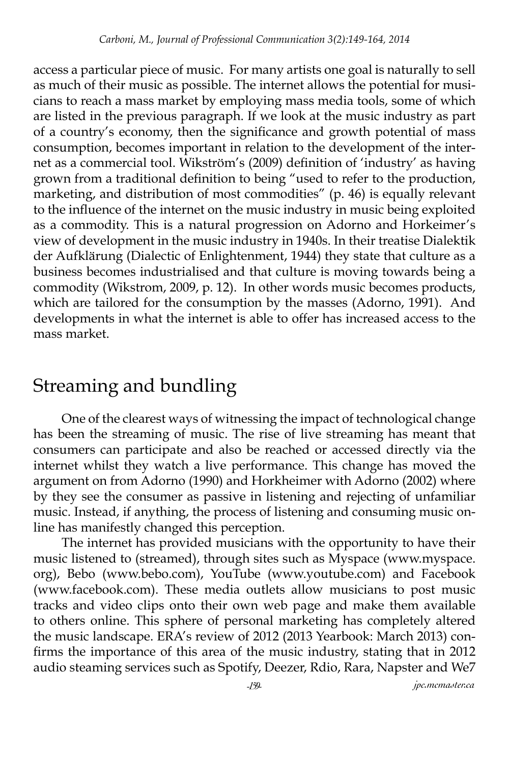access a particular piece of music. For many artists one goal is naturally to sell as much of their music as possible. The internet allows the potential for musicians to reach a mass market by employing mass media tools, some of which are listed in the previous paragraph. If we look at the music industry as part of a country's economy, then the significance and growth potential of mass consumption, becomes important in relation to the development of the internet as a commercial tool. Wikström's (2009) definition of 'industry' as having grown from a traditional definition to being "used to refer to the production, marketing, and distribution of most commodities" (p. 46) is equally relevant to the influence of the internet on the music industry in music being exploited as a commodity. This is a natural progression on Adorno and Horkeimer's view of development in the music industry in 1940s. In their treatise Dialektik der Aufklärung (Dialectic of Enlightenment, 1944) they state that culture as a business becomes industrialised and that culture is moving towards being a commodity (Wikstrom, 2009, p. 12). In other words music becomes products, which are tailored for the consumption by the masses (Adorno, 1991). And developments in what the internet is able to offer has increased access to the mass market.

# Streaming and bundling

One of the clearest ways of witnessing the impact of technological change has been the streaming of music. The rise of live streaming has meant that consumers can participate and also be reached or accessed directly via the internet whilst they watch a live performance. This change has moved the argument on from Adorno (1990) and Horkheimer with Adorno (2002) where by they see the consumer as passive in listening and rejecting of unfamiliar music. Instead, if anything, the process of listening and consuming music online has manifestly changed this perception.

The internet has provided musicians with the opportunity to have their music listened to (streamed), through sites such as Myspace (www.myspace. org), Bebo (www.bebo.com), YouTube (www.youtube.com) and Facebook (www.facebook.com). These media outlets allow musicians to post music tracks and video clips onto their own web page and make them available to others online. This sphere of personal marketing has completely altered the music landscape. ERA's review of 2012 (2013 Yearbook: March 2013) confirms the importance of this area of the music industry, stating that in 2012 audio steaming services such as Spotify, Deezer, Rdio, Rara, Napster and We7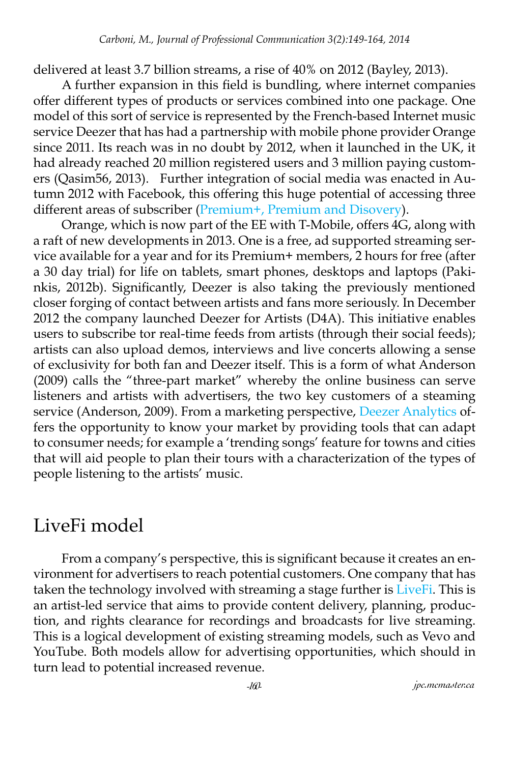delivered at least 3.7 billion streams, a rise of 40% on 2012 (Bayley, 2013).

A further expansion in this field is bundling, where internet companies offer different types of products or services combined into one package. One model of this sort of service is represented by the French-based Internet music service Deezer that has had a partnership with mobile phone provider Orange since 2011. Its reach was in no doubt by 2012, when it launched in the UK, it had already reached 20 million registered users and 3 million paying customers (Qasim56, 2013). Further integration of social media was enacted in Autumn 2012 with Facebook, this offering this huge potential of accessing three different areas of subscriber ([Premium+, Premium and Disovery\)](http://www.deezer.com/offers/).

Orange, which is now part of the EE with T-Mobile, offers 4G, along with a raft of new developments in 2013. One is a free, ad supported streaming service available for a year and for its Premium+ members, 2 hours for free (after a 30 day trial) for life on tablets, smart phones, desktops and laptops (Pakinkis, 2012b). Significantly, Deezer is also taking the previously mentioned closer forging of contact between artists and fans more seriously. In December 2012 the company launched Deezer for Artists (D4A). This initiative enables users to subscribe tor real-time feeds from artists (through their social feeds); artists can also upload demos, interviews and live concerts allowing a sense of exclusivity for both fan and Deezer itself. This is a form of what Anderson (2009) calls the "three-part market" whereby the online business can serve listeners and artists with advertisers, the two key customers of a steaming service (Anderson, 2009). From a marketing perspective, [Deezer Analytics](www.musicweek.com//news/read/deezer-announces-artist-empowerment-product-suite-d4a/052808) offers the opportunity to know your market by providing tools that can adapt to consumer needs; for example a 'trending songs' feature for towns and cities that will aid people to plan their tours with a characterization of the types of people listening to the artists' music.

# LiveFi model

From a company's perspective, this is significant because it creates an environment for advertisers to reach potential customers. One company that has taken the technology involved with streaming a stage further is [LiveFi](http://www.livefi.tv). This is an artist-led service that aims to provide content delivery, planning, production, and rights clearance for recordings and broadcasts for live streaming. This is a logical development of existing streaming models, such as Vevo and YouTube. Both models allow for advertising opportunities, which should in turn lead to potential increased revenue.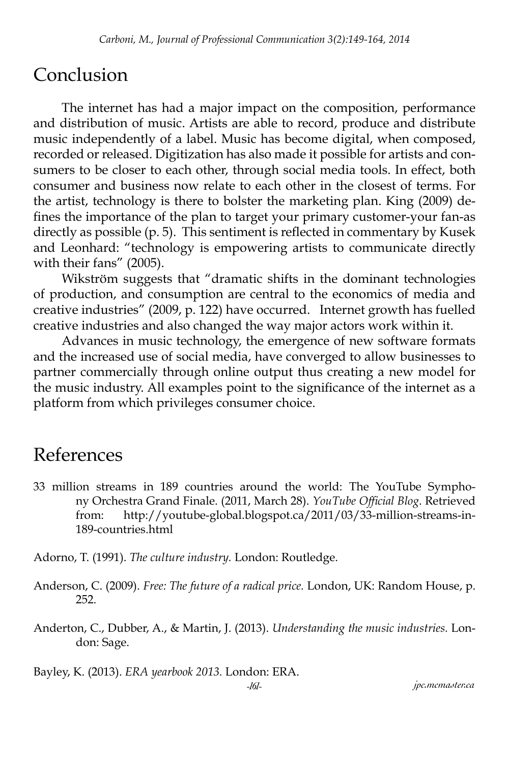# Conclusion

The internet has had a major impact on the composition, performance and distribution of music. Artists are able to record, produce and distribute music independently of a label. Music has become digital, when composed, recorded or released. Digitization has also made it possible for artists and consumers to be closer to each other, through social media tools. In effect, both consumer and business now relate to each other in the closest of terms. For the artist, technology is there to bolster the marketing plan. King (2009) defines the importance of the plan to target your primary customer-your fan-as directly as possible (p. 5). This sentiment is reflected in commentary by Kusek and Leonhard: "technology is empowering artists to communicate directly with their fans" (2005).

Wikström suggests that "dramatic shifts in the dominant technologies of production, and consumption are central to the economics of media and creative industries" (2009, p. 122) have occurred. Internet growth has fuelled creative industries and also changed the way major actors work within it.

Advances in music technology, the emergence of new software formats and the increased use of social media, have converged to allow businesses to partner commercially through online output thus creating a new model for the music industry. All examples point to the significance of the internet as a platform from which privileges consumer choice.

# References

33 million streams in 189 countries around the world: The YouTube Symphony Orchestra Grand Finale. (2011, March 28). *YouTube Official Blog*. Retrieved from: http://youtube-global.blogspot.ca/2011/03/33-million-streams-in-189-countries.html

Adorno, T. (1991). *The culture industry.* London: Routledge.

- Anderson, C. (2009). *Free: The future of a radical price.* London, UK: Random House, p. 252.
- Anderton, C., Dubber, A., & Martin, J. (2013). *Understanding the music industries.* London: Sage.

Bayley, K. (2013). *ERA yearbook 2013.* London: ERA.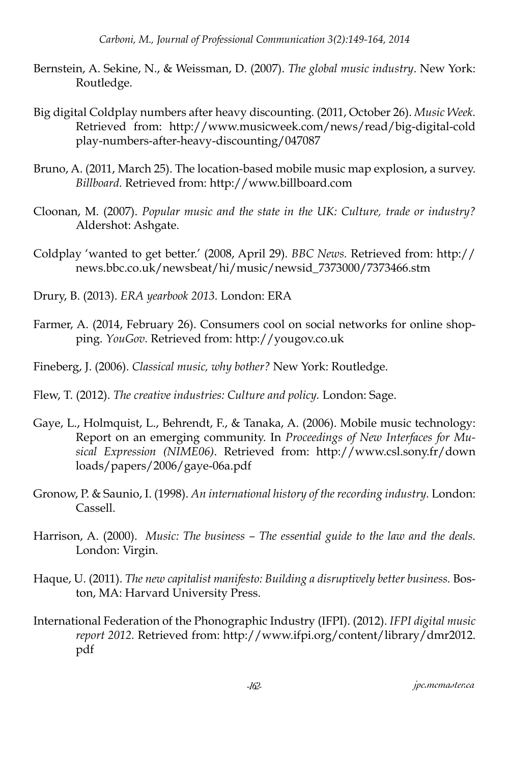- Bernstein, A. Sekine, N., & Weissman, D. (2007). *The global music industry*. New York: Routledge.
- Big digital Coldplay numbers after heavy discounting. (2011, October 26). *Music Week.* Retrieved from: http://www.musicweek.com/news/read/big-digital-cold play-numbers-after-heavy-discounting/047087
- Bruno, A. (2011, March 25). The location-based mobile music map explosion, a survey. *Billboard.* Retrieved from: http://www.billboard.com
- Cloonan, M. (2007). *Popular music and the state in the UK: Culture, trade or industry?*  Aldershot: Ashgate.
- Coldplay 'wanted to get better.' (2008, April 29). *BBC News.* Retrieved from: http:// news.bbc.co.uk/newsbeat/hi/music/newsid\_7373000/7373466.stm
- Drury, B. (2013). *ERA yearbook 2013.* London: ERA
- Farmer, A. (2014, February 26). Consumers cool on social networks for online shopping. *YouGov.* Retrieved from: http://yougov.co.uk
- Fineberg, J. (2006). *Classical music, why bother?* New York: Routledge.
- Flew, T. (2012). *The creative industries: Culture and policy.* London: Sage.
- Gaye, L., Holmquist, L., Behrendt, F., & Tanaka, A. (2006). Mobile music technology: Report on an emerging community. In *Proceedings of New Interfaces for Musical Expression (NIME06)*. Retrieved from: http://www.csl.sony.fr/down loads/papers/2006/gaye-06a.pdf
- Gronow, P. & Saunio, I. (1998). *An international history of the recording industry.* London: Cassell.
- Harrison, A. (2000). *Music: The business The essential guide to the law and the deals.*  London: Virgin.
- Haque, U. (2011). *The new capitalist manifesto: Building a disruptively better business.* Boston, MA: Harvard University Press.
- International Federation of the Phonographic Industry (IFPI). (2012). *IFPI digital music report 2012.* Retrieved from: http://www.ifpi.org/content/library/dmr2012. pdf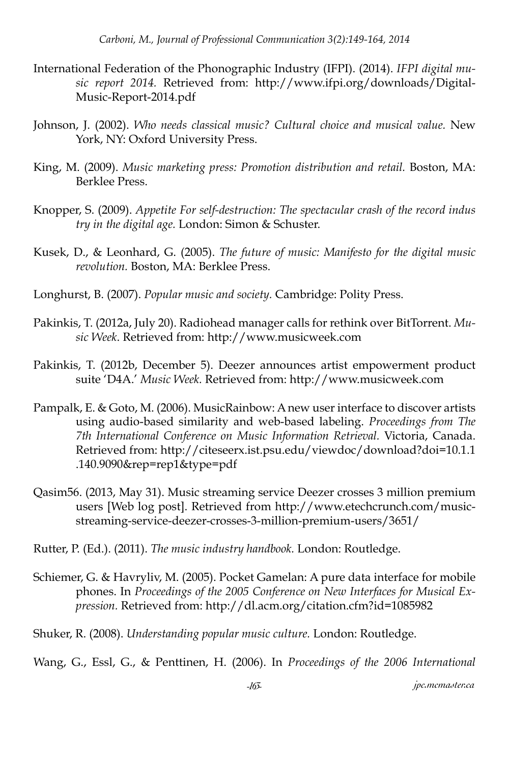- International Federation of the Phonographic Industry (IFPI). (2014). *IFPI digital music report 2014.* Retrieved from: http://www.ifpi.org/downloads/Digital-Music-Report-2014.pdf
- Johnson, J. (2002). *Who needs classical music? Cultural choice and musical value.* New York, NY: Oxford University Press.
- King, M. (2009). *Music marketing press: Promotion distribution and retail.* Boston, MA: Berklee Press.
- Knopper, S. (2009). *Appetite For self-destruction: The spectacular crash of the record indus try in the digital age.* London: Simon & Schuster.
- Kusek, D., & Leonhard, G. (2005). *The future of music: Manifesto for the digital music revolution.* Boston, MA: Berklee Press.
- Longhurst, B. (2007). *Popular music and society.* Cambridge: Polity Press.
- Pakinkis, T. (2012a, July 20). Radiohead manager calls for rethink over BitTorrent. *Music Week*. Retrieved from: http://www.musicweek.com
- Pakinkis, T. (2012b, December 5). Deezer announces artist empowerment product suite 'D4A.' *Music Week.* Retrieved from: http://www.musicweek.com
- Pampalk, E. & Goto, M. (2006). MusicRainbow: A new user interface to discover artists using audio-based similarity and web-based labeling. *Proceedings from The 7th International Conference on Music Information Retrieval.* Victoria, Canada. Retrieved from: http://citeseerx.ist.psu.edu/viewdoc/download?doi=10.1.1 .140.9090&rep=rep1&type=pdf
- Qasim56. (2013, May 31). Music streaming service Deezer crosses 3 million premium users [Web log post]. Retrieved from http://www.etechcrunch.com/musicstreaming-service-deezer-crosses-3-million-premium-users/3651/

Rutter, P. (Ed.). (2011). *The music industry handbook.* London: Routledge.

- Schiemer, G. & Havryliv, M. (2005). Pocket Gamelan: A pure data interface for mobile phones. In *Proceedings of the 2005 Conference on New Interfaces for Musical Expression.* Retrieved from: http://dl.acm.org/citation.cfm?id=1085982
- Shuker, R. (2008). *Understanding popular music culture.* London: Routledge.

Wang, G., Essl, G., & Penttinen, H. (2006). In *Proceedings of the 2006 International*